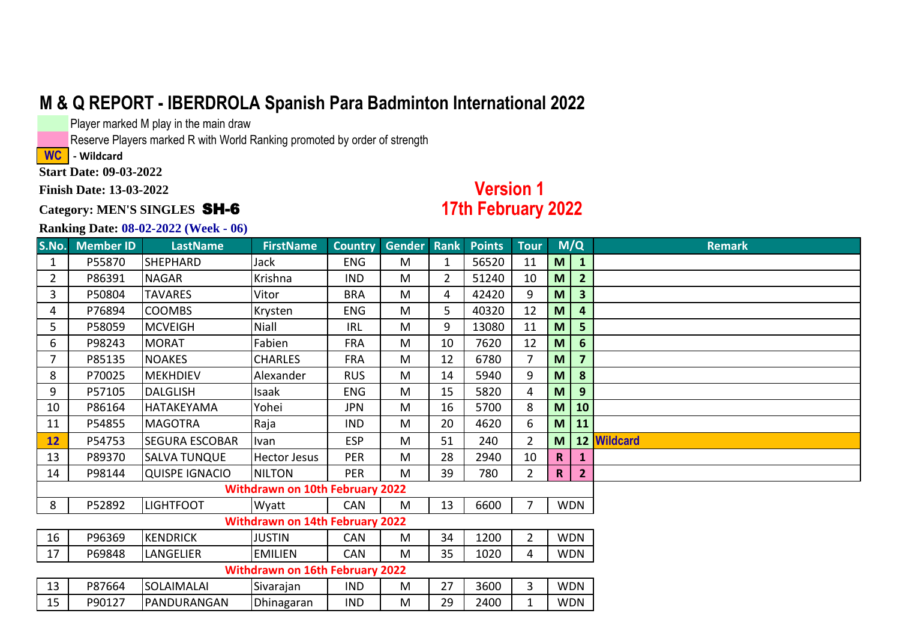Player marked M play in the main draw

Reserve Players marked R with World Ranking promoted by order of strength

**WC - Wildcard** 

**Start Date: 09-03-2022**

**Finish Date: 13-03-2022**

#### **Category: MEN'S SINGLES** SH-6

### **Version 1 17th February 2022**

| S.No.          | <b>Member ID</b> | <b>LastName</b>       | <b>FirstName</b>                       |            | <b>Country Gender Rank</b> |                | <b>Points</b> | <b>Tour</b>    |             | M/Q            | <b>Remark</b> |
|----------------|------------------|-----------------------|----------------------------------------|------------|----------------------------|----------------|---------------|----------------|-------------|----------------|---------------|
| $\mathbf{1}$   | P55870           | <b>SHEPHARD</b>       | Jack                                   | <b>ENG</b> | M                          | $\mathbf{1}$   | 56520         | 11             | M           | $\mathbf{1}$   |               |
| $\overline{2}$ | P86391           | <b>NAGAR</b>          | Krishna                                | <b>IND</b> | M                          | $\overline{2}$ | 51240         | 10             | M           | $\overline{2}$ |               |
| 3              | P50804           | <b>TAVARES</b>        | Vitor                                  | <b>BRA</b> | M                          | 4              | 42420         | 9              | M           | 3              |               |
| 4              | P76894           | <b>COOMBS</b>         | Krysten                                | <b>ENG</b> | M                          | 5              | 40320         | 12             | M           | 4              |               |
| 5              | P58059           | <b>MCVEIGH</b>        | Niall                                  | <b>IRL</b> | M                          | 9              | 13080         | 11             | M           | 5              |               |
| 6              | P98243           | <b>MORAT</b>          | Fabien                                 | <b>FRA</b> | M                          | 10             | 7620          | 12             | M           | 6              |               |
| 7              | P85135           | <b>NOAKES</b>         | <b>CHARLES</b>                         | <b>FRA</b> | M                          | 12             | 6780          | $\overline{7}$ | M           | $\overline{7}$ |               |
| 8              | P70025           | <b>MEKHDIEV</b>       | Alexander                              | <b>RUS</b> | M                          | 14             | 5940          | 9              | M           | 8              |               |
| 9              | P57105           | <b>DALGLISH</b>       | Isaak                                  | <b>ENG</b> | M                          | 15             | 5820          | 4              | M           | 9              |               |
| 10             | P86164           | HATAKEYAMA            | Yohei                                  | <b>JPN</b> | M                          | 16             | 5700          | 8              | M           | 10             |               |
| 11             | P54855           | <b>MAGOTRA</b>        | Raja                                   | <b>IND</b> | M                          | 20             | 4620          | 6              | M           | 11             |               |
| 12             | P54753           | <b>SEGURA ESCOBAR</b> | Ivan                                   | <b>ESP</b> | M                          | 51             | 240           | $\overline{2}$ | M           |                | 12 Wildcard   |
| 13             | P89370           | <b>SALVA TUNQUE</b>   | <b>Hector Jesus</b>                    | <b>PER</b> | M                          | 28             | 2940          | 10             | $\mathbf R$ |                |               |
| 14             | P98144           | <b>QUISPE IGNACIO</b> | <b>NILTON</b>                          | <b>PER</b> | M                          | 39             | 780           | $\overline{2}$ | $\mathbf R$ | $\overline{2}$ |               |
|                |                  |                       | <b>Withdrawn on 10th February 2022</b> |            |                            |                |               |                |             |                |               |
| 8              | P52892           | <b>LIGHTFOOT</b>      | Wyatt                                  | <b>CAN</b> | M                          | 13             | 6600          | 7              |             | <b>WDN</b>     |               |
|                |                  |                       | <b>Withdrawn on 14th February 2022</b> |            |                            |                |               |                |             |                |               |
| 16             | P96369           | <b>KENDRICK</b>       | <b>JUSTIN</b>                          | CAN        | M                          | 34             | 1200          | $\overline{2}$ |             | <b>WDN</b>     |               |
| 17             | P69848           | LANGELIER             | <b>EMILIEN</b>                         | <b>CAN</b> | M                          | 35             | 1020          | 4              |             | <b>WDN</b>     |               |
|                |                  |                       | Withdrawn on 16th February 2022        |            |                            |                |               |                |             |                |               |
| 13             | P87664           | SOLAIMALAI            | Sivarajan                              | <b>IND</b> | M                          | 27             | 3600          | 3              |             | <b>WDN</b>     |               |
| 15             | P90127           | PANDURANGAN           | Dhinagaran                             | <b>IND</b> | M                          | 29             | 2400          | 1              |             | <b>WDN</b>     |               |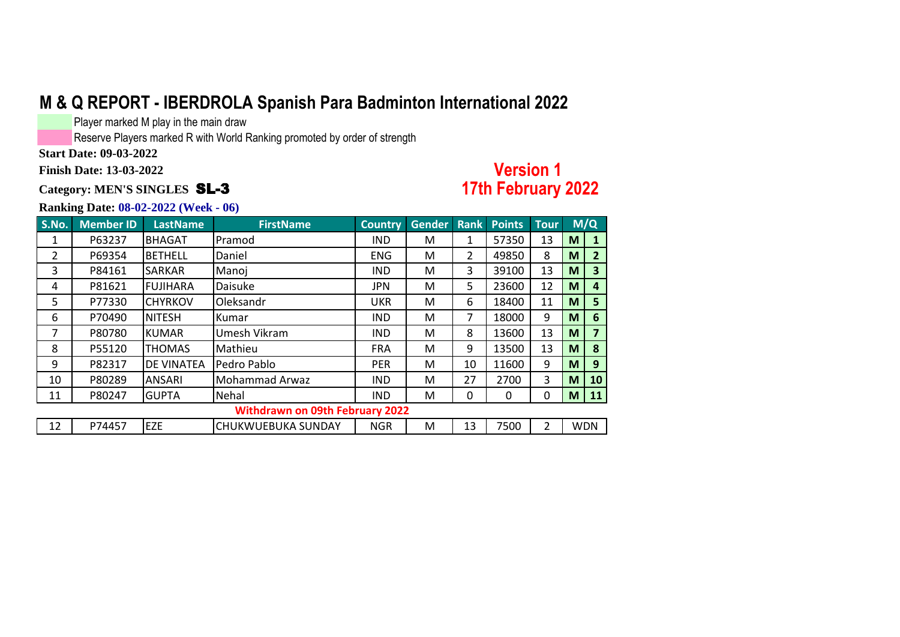Player marked M play in the main draw

Reserve Players marked R with World Ranking promoted by order of strength

**Start Date: 09-03-2022**

**Finish Date: 13-03-2022**

**Category: MEN'S SINGLES** SL-3

### **Version 1 17th February 2022**

| S.No.          | <b>Member ID</b> | <b>LastName</b>   | <b>FirstName</b>                       | <b>Country</b> | <b>Gender</b> | <b>Rank</b> | <b>Points</b> | <b>Tour</b> |   | M/Q            |
|----------------|------------------|-------------------|----------------------------------------|----------------|---------------|-------------|---------------|-------------|---|----------------|
| 1              | P63237           | <b>BHAGAT</b>     | Pramod                                 | <b>IND</b>     | M             | 1           | 57350         | 13          | M | 1              |
| $\overline{2}$ | P69354           | <b>BETHELL</b>    | Daniel                                 | <b>ENG</b>     | M             | 2           | 49850         | 8           | M | $\overline{2}$ |
| 3              | P84161           | <b>SARKAR</b>     | Manoj                                  | <b>IND</b>     | М             | 3           | 39100         | 13          | M | 3              |
| 4              | P81621           | <b>FUJIHARA</b>   | Daisuke                                | <b>JPN</b>     | M             | 5           | 23600         | 12          | M | 4              |
| 5              | P77330           | <b>CHYRKOV</b>    | Oleksandr                              | <b>UKR</b>     | М             | 6           | 18400         | 11          | M | 5              |
| 6              | P70490           | <b>NITESH</b>     | Kumar                                  | <b>IND</b>     | М             | 7           | 18000         | 9           | M | 6              |
| 7              | P80780           | <b>KUMAR</b>      | Umesh Vikram                           | <b>IND</b>     | M             | 8           | 13600         | 13          | M | 7              |
| 8              | P55120           | <b>THOMAS</b>     | Mathieu                                | <b>FRA</b>     | М             | 9           | 13500         | 13          | M | 8              |
| 9              | P82317           | <b>DE VINATEA</b> | Pedro Pablo                            | <b>PER</b>     | М             | 10          | 11600         | 9           | M | 9              |
| 10             | P80289           | <b>ANSARI</b>     | <b>Mohammad Arwaz</b>                  | <b>IND</b>     | M             | 27          | 2700          | 3           | M | 10             |
| 11             | P80247           | <b>GUPTA</b>      | Nehal                                  | <b>IND</b>     | M             | 0           | 0             | 0           | M | <b>11</b>      |
|                |                  |                   | <b>Withdrawn on 09th February 2022</b> |                |               |             |               |             |   |                |
| 12             | P74457           | <b>EZE</b>        | <b>CHUKWUEBUKA SUNDAY</b>              | <b>NGR</b>     | M             | 13          | 7500          | 2           |   | <b>WDN</b>     |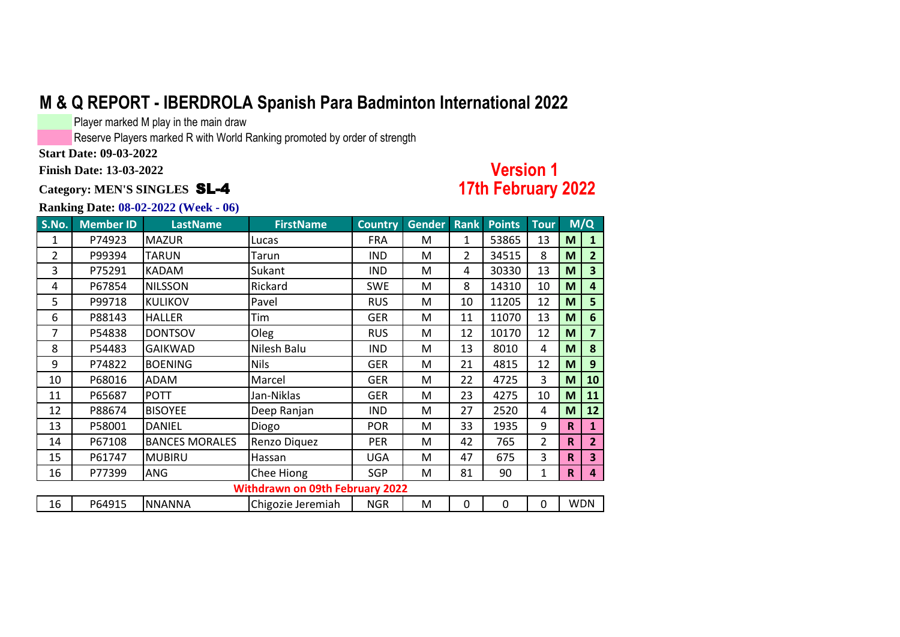Player marked M play in the main draw

Reserve Players marked R with World Ranking promoted by order of strength

**Start Date: 09-03-2022**

**Finish Date: 13-03-2022**

#### **Category: MEN'S SINGLES** SL-4

### **Version 1 17th February 2022**

| S.No. | <b>Member ID</b> | <b>LastName</b>       | <b>FirstName</b>                       | <b>Country</b> | Gender Rank |                | <b>Points</b> | <b>Tour</b> |             | M/Q                     |
|-------|------------------|-----------------------|----------------------------------------|----------------|-------------|----------------|---------------|-------------|-------------|-------------------------|
| 1     | P74923           | <b>MAZUR</b>          | Lucas                                  | <b>FRA</b>     | M           | $\mathbf{1}$   | 53865         | 13          | M           | 1                       |
| 2     | P99394           | <b>TARUN</b>          | Tarun                                  | <b>IND</b>     | M           | $\overline{2}$ | 34515         | 8           | M           | $\overline{2}$          |
| 3     | P75291           | <b>KADAM</b>          | Sukant                                 | <b>IND</b>     | M           | 4              | 30330         | 13          | M           | 3                       |
| 4     | P67854           | <b>NILSSON</b>        | Rickard                                | <b>SWE</b>     | M           | 8              | 14310         | 10          | M           | $\overline{\mathbf{4}}$ |
| 5     | P99718           | <b>KULIKOV</b>        | Pavel                                  | <b>RUS</b>     | M           | 10             | 11205         | 12          | M           | 5                       |
| 6     | P88143           | <b>HALLER</b>         | Tim                                    | <b>GER</b>     | M           | 11             | 11070         | 13          | M           | 6                       |
| 7     | P54838           | <b>DONTSOV</b>        | Oleg                                   | <b>RUS</b>     | M           | 12             | 10170         | 12          | M           | 7                       |
| 8     | P54483           | <b>GAIKWAD</b>        | Nilesh Balu                            | <b>IND</b>     | M           | 13             | 8010          | 4           | M           | 8                       |
| 9     | P74822           | <b>BOENING</b>        | <b>Nils</b>                            | GER            | M           | 21             | 4815          | 12          | M           | 9                       |
| 10    | P68016           | ADAM                  | Marcel                                 | GER            | M           | 22             | 4725          | 3           | M           | 10                      |
| 11    | P65687           | <b>POTT</b>           | Jan-Niklas                             | GER            | M           | 23             | 4275          | 10          | M           | 11                      |
| 12    | P88674           | <b>BISOYEE</b>        | Deep Ranjan                            | <b>IND</b>     | M           | 27             | 2520          | 4           | M           | 12                      |
| 13    | P58001           | <b>DANIEL</b>         | Diogo                                  | <b>POR</b>     | M           | 33             | 1935          | 9           | $\mathbf R$ | $\mathbf{1}$            |
| 14    | P67108           | <b>BANCES MORALES</b> | Renzo Diquez                           | <b>PER</b>     | M           | 42             | 765           | 2           | $\mathbf R$ | $\overline{2}$          |
| 15    | P61747           | <b>MUBIRU</b>         | Hassan                                 | <b>UGA</b>     | M           | 47             | 675           | 3           | $\mathbf R$ | $\overline{\mathbf{3}}$ |
| 16    | P77399           | <b>ANG</b>            | Chee Hiong                             | <b>SGP</b>     | M           | 81             | 90            | 1           | $\mathbf R$ | 4                       |
|       |                  |                       | <b>Withdrawn on 09th February 2022</b> |                |             |                |               |             |             |                         |
| 16    | P64915           | <b>NNANNA</b>         | Chigozie Jeremiah                      | <b>NGR</b>     | M           | $\mathbf 0$    | $\mathbf 0$   | 0           |             | <b>WDN</b>              |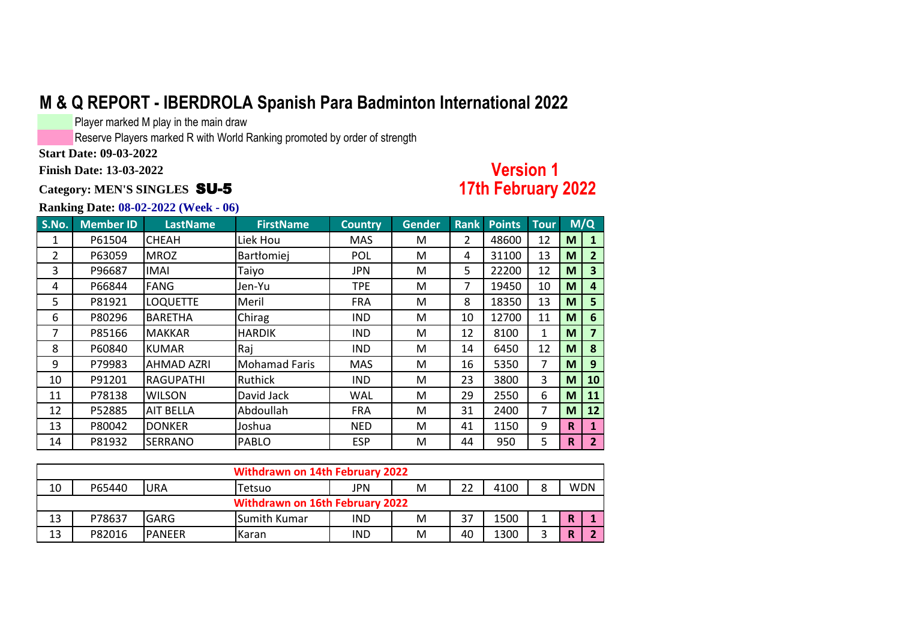Player marked M play in the main draw

Reserve Players marked R with World Ranking promoted by order of strength

**Start Date: 09-03-2022**

**Finish Date: 13-03-2022**

#### **Category: MEN'S SINGLES** SU-5

### **Version 1 17th February 2022**

| S.No. | <b>Member ID</b> | <b>LastName</b>   | <b>FirstName</b>     | <b>Country</b> | <b>Gender</b> | Rank           | <b>Points</b> | <b>Tour</b>  |             | M/Q            |
|-------|------------------|-------------------|----------------------|----------------|---------------|----------------|---------------|--------------|-------------|----------------|
| 1     | P61504           | <b>CHEAH</b>      | Liek Hou             | <b>MAS</b>     | М             | $\overline{2}$ | 48600         | 12           | M           | 1              |
| 2     | P63059           | <b>MROZ</b>       | Bartłomiej           | POL            | M             | 4              | 31100         | 13           | M           | $\overline{2}$ |
| 3     | P96687           | <b>IMAI</b>       | Taiyo                | <b>JPN</b>     | M             | 5.             | 22200         | 12           | M           | $\mathbf{3}$   |
| 4     | P66844           | <b>FANG</b>       | Jen-Yu               | <b>TPE</b>     | M             | 7              | 19450         | 10           | M           | 4              |
| 5     | P81921           | <b>LOQUETTE</b>   | Meril                | <b>FRA</b>     | М             | 8              | 18350         | 13           | M           | 5              |
| 6     | P80296           | <b>BARETHA</b>    | Chirag               | <b>IND</b>     | M             | 10             | 12700         | 11           | M           | 6              |
| 7     | P85166           | <b>MAKKAR</b>     | <b>HARDIK</b>        | <b>IND</b>     | М             | 12             | 8100          | $\mathbf{1}$ | M           | 7              |
| 8     | P60840           | <b>KUMAR</b>      | Raj                  | <b>IND</b>     | M             | 14             | 6450          | 12           | M           | 8              |
| 9     | P79983           | <b>AHMAD AZRI</b> | <b>Mohamad Faris</b> | <b>MAS</b>     | М             | 16             | 5350          | 7            | M           | 9              |
| 10    | P91201           | RAGUPATHI         | Ruthick              | <b>IND</b>     | M             | 23             | 3800          | 3            | M           | 10             |
| 11    | P78138           | <b>WILSON</b>     | David Jack           | <b>WAL</b>     | М             | 29             | 2550          | 6            | M           | 11             |
| 12    | P52885           | AIT BELLA         | Abdoullah            | <b>FRA</b>     | M             | 31             | 2400          | 7            | M           | 12             |
| 13    | P80042           | <b>DONKER</b>     | Joshua               | <b>NED</b>     | M             | 41             | 1150          | 9            | $\mathbf R$ | 1              |
| 14    | P81932           | <b>SERRANO</b>    | <b>PABLO</b>         | <b>ESP</b>     | M             | 44             | 950           | 5            | R           | $\overline{2}$ |

|    | <b>Withdrawn on 14th February 2022</b> |                |              |     |   |    |      |  |            |  |  |  |
|----|----------------------------------------|----------------|--------------|-----|---|----|------|--|------------|--|--|--|
| 10 | P65440                                 | IURA           | Tetsuo       | JPN | M | 22 | 4100 |  | <b>WDN</b> |  |  |  |
|    | Withdrawn on 16th February 2022        |                |              |     |   |    |      |  |            |  |  |  |
| 13 | P78637                                 | <b>GARG</b>    | Sumith Kumar | IND | M | 37 | 1500 |  |            |  |  |  |
| 13 | P82016                                 | <b>IPANEER</b> | <b>Karan</b> | IND | M | 40 | 1300 |  |            |  |  |  |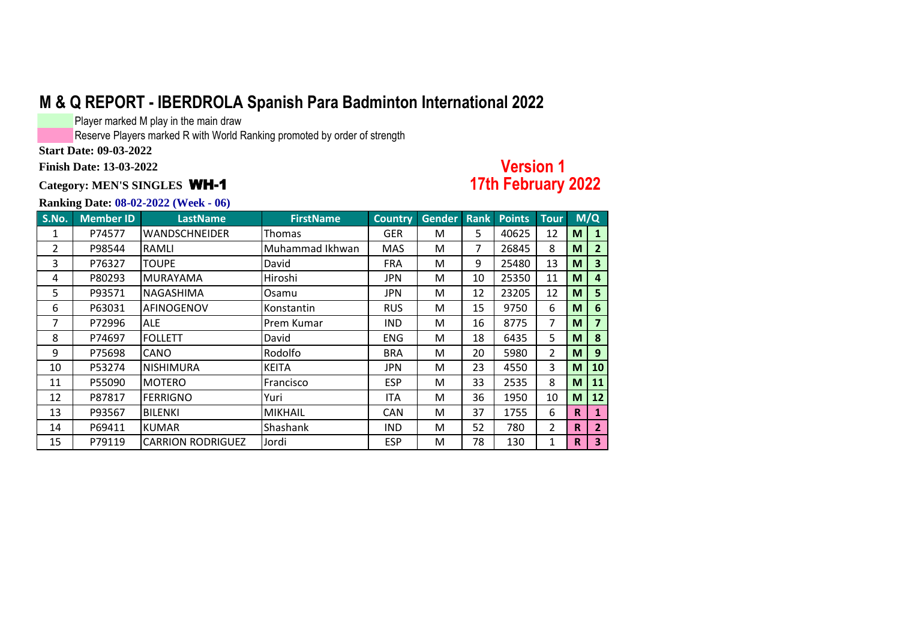Player marked M play in the main draw

Reserve Players marked R with World Ranking promoted by order of strength

**Start Date: 09-03-2022**

**Finish Date: 13-03-2022**

#### **Category: MEN'S SINGLES** WH-1

### **Version 1 17th February 2022**

| S.No. | <b>Member ID</b> | <b>LastName</b>          | <b>FirstName</b> | <b>Country</b> | Gender | <b>Rank</b>    | <b>Points</b> | <b>Tour</b>  |    | M/Q                     |
|-------|------------------|--------------------------|------------------|----------------|--------|----------------|---------------|--------------|----|-------------------------|
| 1     | P74577           | <b>WANDSCHNEIDER</b>     | Thomas           | <b>GER</b>     | M      | 5.             | 40625         | 12           | M  | 1                       |
| 2     | P98544           | RAMLI                    | Muhammad Ikhwan  | <b>MAS</b>     | м      | $\overline{7}$ | 26845         | 8            | M  | $\mathbf{2}$            |
| 3     | P76327           | <b>TOUPE</b>             | David            | <b>FRA</b>     | м      | 9              | 25480         | 13           | M  | $\overline{\mathbf{3}}$ |
| 4     | P80293           | <b>IMURAYAMA</b>         | Hiroshi          | JPN.           | M      | 10             | 25350         | 11           | M  | $\overline{4}$          |
| 5     | P93571           | INAGASHIMA               | Osamu            | JPN.           | м      | 12             | 23205         | 12           | M  | 5                       |
| 6     | P63031           | AFINOGENOV               | Konstantin       | <b>RUS</b>     | M      | 15             | 9750          | 6            | M  | 6                       |
| 7     | P72996           | <b>ALE</b>               | Prem Kumar       | <b>IND</b>     | M      | 16             | 8775          | 7            | M  | $\overline{7}$          |
| 8     | P74697           | <b>FOLLETT</b>           | David            | <b>ENG</b>     | м      | 18             | 6435          | 5            | M  | 8                       |
| 9     | P75698           | <b>CANO</b>              | Rodolfo          | <b>BRA</b>     | M      | 20             | 5980          | 2            | M  | 9                       |
| 10    | P53274           | <b>NISHIMURA</b>         | <b>KEITA</b>     | JPN.           | M      | 23             | 4550          | 3            | M  | 10                      |
| 11    | P55090           | <b>MOTERO</b>            | Francisco        | <b>ESP</b>     | м      | 33             | 2535          | 8            | M  | 11                      |
| 12    | P87817           | <b>FERRIGNO</b>          | Yuri             | <b>ITA</b>     | M      | 36             | 1950          | 10           | M  | 12                      |
| 13    | P93567           | <b>BILENKI</b>           | <b>MIKHAIL</b>   | <b>CAN</b>     | M      | 37             | 1755          | 6            | R. | 1                       |
| 14    | P69411           | <b>KUMAR</b>             | Shashank         | <b>IND</b>     | M      | 52             | 780           | 2            | R. | $\overline{2}$          |
| 15    | P79119           | <b>CARRION RODRIGUEZ</b> | Jordi            | <b>ESP</b>     | M      | 78             | 130           | $\mathbf{1}$ | R  | 3                       |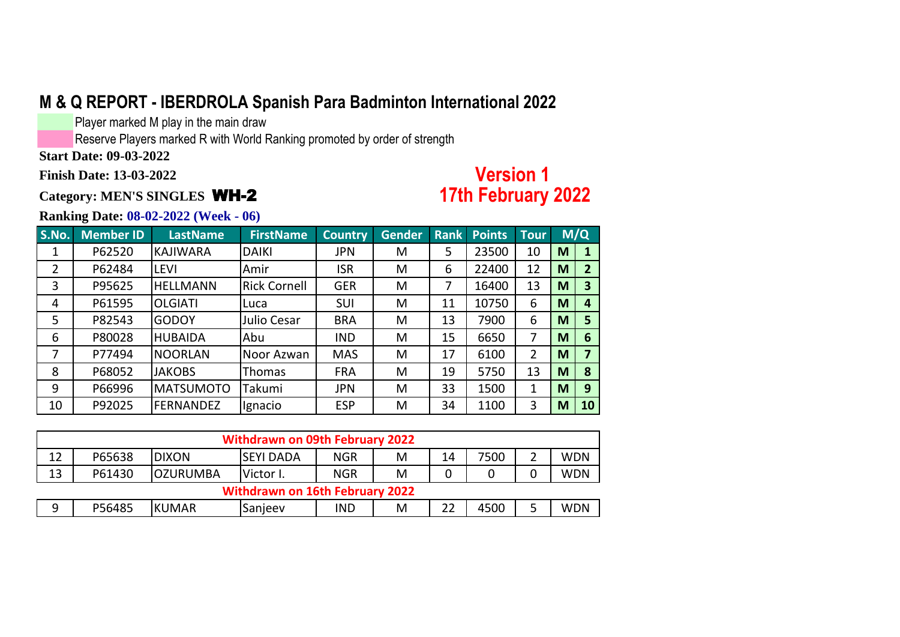Player marked M play in the main draw

Reserve Players marked R with World Ranking promoted by order of strength

**Start Date: 09-03-2022**

**Finish Date: 13-03-2022**

**Category: MEN'S SINGLES** WH-2

# **Version 1 17th February 2022**

| S.No. | <b>Member ID</b> | <b>LastName</b>  | <b>FirstName</b>    | <b>Country</b> | <b>Gender</b> | <b>Rank</b> | <b>Points</b> | <b>Tour</b>    |   | M/Q |
|-------|------------------|------------------|---------------------|----------------|---------------|-------------|---------------|----------------|---|-----|
|       | P62520           | KAJIWARA         | <b>DAIKI</b>        | <b>JPN</b>     | M             | 5           | 23500         | 10             | M |     |
| 2     | P62484           | <b>LEVI</b>      | Amir                | <b>ISR</b>     | M             | 6           | 22400         | 12             | M | 2   |
| 3     | P95625           | <b>HELLMANN</b>  | <b>Rick Cornell</b> | <b>GER</b>     | M             | 7           | 16400         | 13             | M | 3   |
| 4     | P61595           | <b>OLGIATI</b>   | Luca                | <b>SUI</b>     | M             | 11          | 10750         | 6              | M | 4   |
| 5     | P82543           | <b>GODOY</b>     | Julio Cesar         | <b>BRA</b>     | M             | 13          | 7900          | 6              | M | 5   |
| 6     | P80028           | <b>HUBAIDA</b>   | Abu                 | <b>IND</b>     | M             | 15          | 6650          | 7              | M | 6   |
| 7     | P77494           | <b>NOORLAN</b>   | Noor Azwan          | <b>MAS</b>     | M             | 17          | 6100          | $\overline{2}$ | M |     |
| 8     | P68052           | <b>JAKOBS</b>    | Thomas              | <b>FRA</b>     | M             | 19          | 5750          | 13             | M | 8   |
| 9     | P66996           | <b>MATSUMOTO</b> | Takumi              | <b>JPN</b>     | M             | 33          | 1500          | 1              | M | 9   |
| 10    | P92025           | <b>FERNANDEZ</b> | Ignacio             | <b>ESP</b>     | M             | 34          | 1100          | 3              | M | 10  |

|                                                                                                      | <b>Withdrawn on 09th February 2022</b> |                 |                                        |            |   |    |      |  |            |  |  |  |
|------------------------------------------------------------------------------------------------------|----------------------------------------|-----------------|----------------------------------------|------------|---|----|------|--|------------|--|--|--|
| 12<br>P65638<br>7500<br>⌒<br><b>WDN</b><br><b>DIXON</b><br><b>NGR</b><br><b>SEYI DADA</b><br>M<br>14 |                                        |                 |                                        |            |   |    |      |  |            |  |  |  |
| 13                                                                                                   | P61430                                 | <b>OZURUMBA</b> | Victor I.                              | <b>NGR</b> | M |    |      |  | <b>WDN</b> |  |  |  |
|                                                                                                      |                                        |                 | <b>Withdrawn on 16th February 2022</b> |            |   |    |      |  |            |  |  |  |
| 9                                                                                                    | P56485                                 | <b>KUMAR</b>    | Sanjeev                                | <b>IND</b> | M | 22 | 4500 |  | <b>WDN</b> |  |  |  |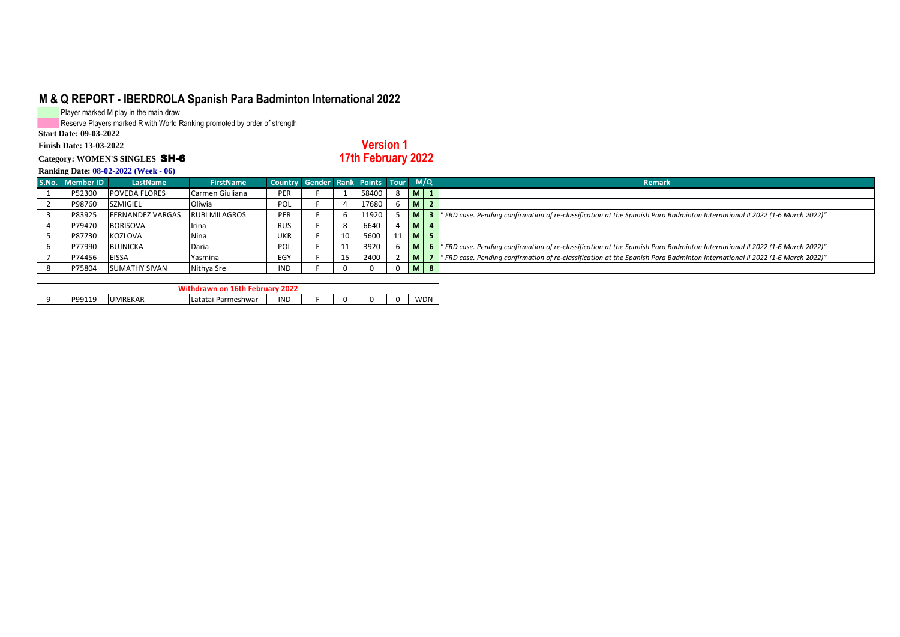Player marked M play in the main draw

Reserve Players marked R with World Ranking promoted by order of strength

**Start Date: 09-03-2022**

#### **Finish Date: 13-03-2022**

#### **Category: WOMEN'S SINGLES** SH-6

**Version 1 17th February 2022**

|                 | $\mathbf{F}$            |                      |                                     |    |       |                |                                                                                                                            |
|-----------------|-------------------------|----------------------|-------------------------------------|----|-------|----------------|----------------------------------------------------------------------------------------------------------------------------|
| S.No. Member ID | LastName                | <b>FirstName</b>     | Country Gender Rank Points Tour M/Q |    |       |                | <b>Remark</b>                                                                                                              |
| P52300          | <b>POVEDA FLORES</b>    | Carmen Giuliana      | PER                                 |    | 58400 | M <sub>1</sub> |                                                                                                                            |
| P98760          | <b>SZMIGIEL</b>         | Oliwia               | POL                                 |    | 17680 | $M$   2        |                                                                                                                            |
| P83925          | <b>FERNANDEZ VARGAS</b> | <b>RUBI MILAGROS</b> | <b>PER</b>                          |    | 11920 | M <sub>1</sub> | "FRD case. Pending confirmation of re-classification at the Spanish Para Badminton International II 2022 (1-6 March 2022)" |
| P79470          | <b>BORISOVA</b>         | Irina                | <b>RUS</b>                          |    | 6640  | $M$   4        |                                                                                                                            |
| P87730          | <b>KOZLOVA</b>          | <b>Nina</b>          | <b>UKR</b>                          | 10 | 5600  | <b>M</b> 5     |                                                                                                                            |
| P77990          | <b>BUJNICKA</b>         | Daria                | <b>POL</b>                          | 11 | 3920  | M.             | "FRD case. Pending confirmation of re-classification at the Spanish Para Badminton International II 2022 (1-6 March 2022)" |
| P74456          | <b>EISSA</b>            | Yasmina              | EGY                                 | 15 | 2400  | M <sub>1</sub> | "FRD case. Pending confirmation of re-classification at the Spanish Para Badminton International II 2022 (1-6 March 2022)" |
| P75804          | <b>SUMATHY SIVAN</b>    | Nithya Sre           | IND                                 |    |       | $M \mid 8$     |                                                                                                                            |

|                               | 2022<br>Februar<br>on<br>. INTO |                |                                            |            |   |  |  |  |            |  |  |  |
|-------------------------------|---------------------------------|----------------|--------------------------------------------|------------|---|--|--|--|------------|--|--|--|
| $\overline{\phantom{0}}$<br>- | <b>DQQ11Q</b><br><b>JJ11J</b>   | <b>UMREKAR</b> | -<br>$-+ - + -$<br>. Parmeshwar<br>Ldididi | <b>IND</b> | - |  |  |  | <b>WDN</b> |  |  |  |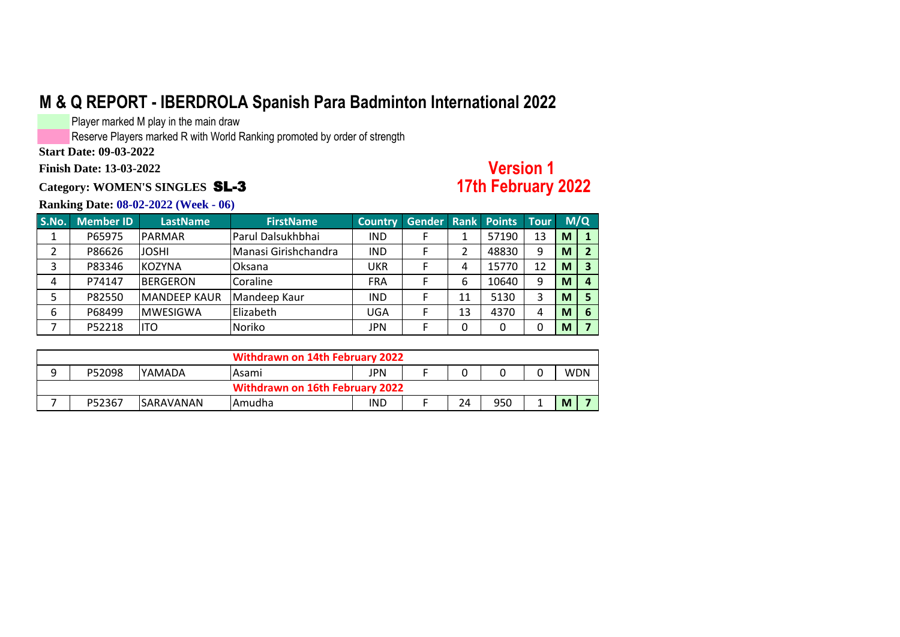Player marked M play in the main draw

Reserve Players marked R with World Ranking promoted by order of strength

**Start Date: 09-03-2022**

**Finish Date: 13-03-2022**

**Category: WOMEN'S SINGLES** SL-3

### **Version 1 17th February 2022**

| S.No. | <b>Member ID</b> | <b>LastName</b>     | <b>FirstName</b>     | <b>Country</b> | Gender Rank Points Tour |    |       |    |   | M/Q |
|-------|------------------|---------------------|----------------------|----------------|-------------------------|----|-------|----|---|-----|
|       | P65975           | <b>PARMAR</b>       | Parul Dalsukhbhai    | <b>IND</b>     |                         |    | 57190 | 13 | M |     |
|       | P86626           | <b>JOSHI</b>        | Manasi Girishchandra | <b>IND</b>     |                         |    | 48830 | 9  | M |     |
|       | P83346           | <b>IKOZYNA</b>      | Oksana               | UKR            |                         | 4  | 15770 | 12 | M |     |
| 4     | P74147           | <b>BERGERON</b>     | Coraline             | <b>FRA</b>     |                         | 6  | 10640 | 9  | M |     |
|       | P82550           | <b>MANDEEP KAUR</b> | Mandeep Kaur         | <b>IND</b>     |                         | 11 | 5130  |    | M |     |
| 6     | P68499           | <b>IMWESIGWA</b>    | Elizabeth            | UGA            |                         | 13 | 4370  | 4  | M | 6   |
|       | P52218           | lito                | Noriko               | <b>JPN</b>     |                         | 0  | 0     |    | M |     |

|   |                                        |                   | Withdrawn on 14th February 2022 |     |  |    |     |  |            |  |  |
|---|----------------------------------------|-------------------|---------------------------------|-----|--|----|-----|--|------------|--|--|
| ۵ | P52098                                 | <b>IYAMADA</b>    | lAsami                          | JPN |  |    |     |  | <b>WDN</b> |  |  |
|   | <b>Withdrawn on 16th February 2022</b> |                   |                                 |     |  |    |     |  |            |  |  |
|   | P52367                                 | <b>ISARAVANAN</b> | Amudha                          | IND |  | 24 | 950 |  | M          |  |  |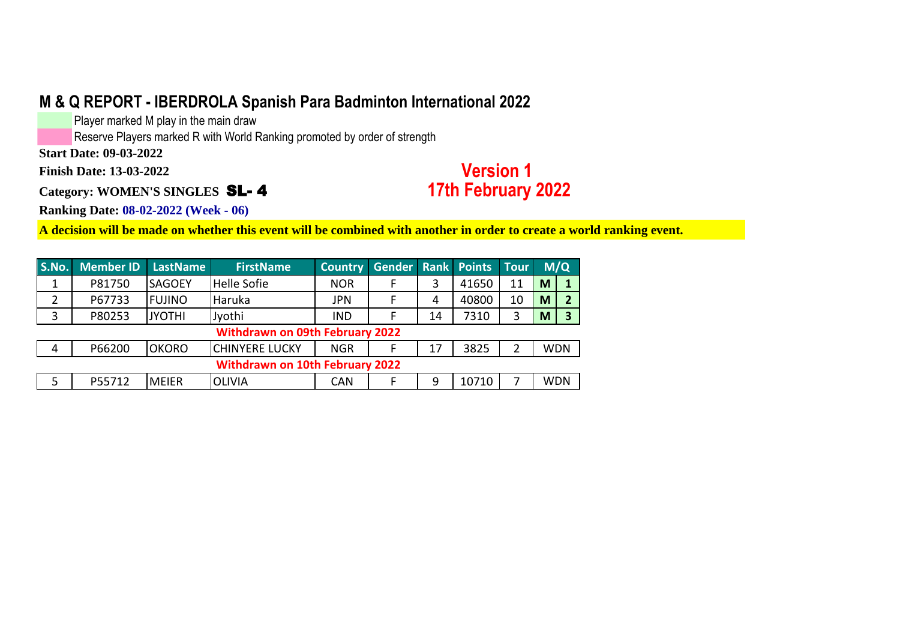Player marked M play in the main draw

Reserve Players marked R with World Ranking promoted by order of strength

**Start Date: 09-03-2022**

**Finish Date: 13-03-2022**

**Category: WOMEN'S SINGLES** SL- 4

# **Version 1 17th February 2022**

**Ranking Date: 08-02-2022 (Week - 06)**

**A decision will be made on whether this event will be combined with another in order to create a world ranking event.**

| S.No. | <b>Member ID</b> | <b>LastName</b> | <b>FirstName</b>                       | <b>Country</b> | <b>Gender Rank Points</b> |    |       | Tour |   | M/Q        |
|-------|------------------|-----------------|----------------------------------------|----------------|---------------------------|----|-------|------|---|------------|
|       | P81750           | <b>SAGOEY</b>   | <b>Helle Sofie</b>                     | <b>NOR</b>     |                           |    | 41650 | 11   | M |            |
|       | P67733           | <b>FUJINO</b>   | Haruka                                 | JPN            |                           | 4  | 40800 | 10   | M |            |
| 3     | P80253           | <b>JYOTHI</b>   | Jyothi                                 | <b>IND</b>     |                           | 14 | 7310  | 3    | M | 3          |
|       |                  |                 | <b>Withdrawn on 09th February 2022</b> |                |                           |    |       |      |   |            |
| 4     | P66200           | <b>OKORO</b>    | <b>CHINYERE LUCKY</b>                  | <b>NGR</b>     |                           | 17 | 3825  | 2    |   | <b>WDN</b> |
|       |                  |                 | <b>Withdrawn on 10th February 2022</b> |                |                           |    |       |      |   |            |
| 5     | P55712           | <b>MEIER</b>    | <b>OLIVIA</b>                          | <b>CAN</b>     |                           | 9  | 10710 |      |   | <b>WDN</b> |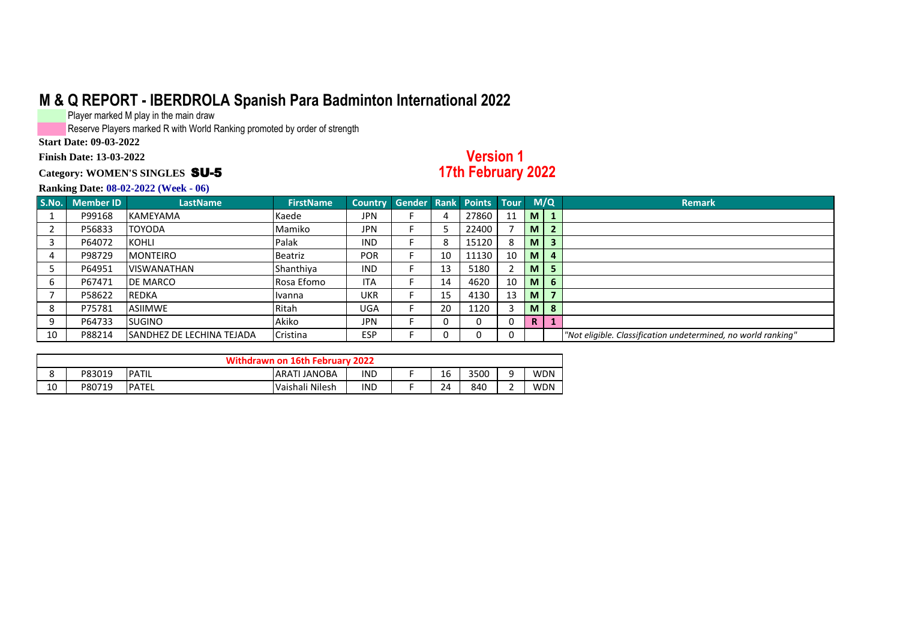Player marked M play in the main draw

Reserve Players marked R with World Ranking promoted by order of strength

**Start Date: 09-03-2022**

**Finish Date: 13-03-2022**

#### **Category: WOMEN'S SINGLES** SU-5

### **Version 1 17th February 2022**

| S.No. | Member ID | <b>LastName</b>            | <b>FirstName</b> | Country Gender Rank Points Tour |    |       |    |          | M/Q                     | <b>Remark</b>                                                 |
|-------|-----------|----------------------------|------------------|---------------------------------|----|-------|----|----------|-------------------------|---------------------------------------------------------------|
|       | P99168    | <b>KAMEYAMA</b>            | Kaede            | JPN                             | 4  | 27860 | 11 | <b>M</b> | $\blacksquare$          |                                                               |
|       | P56833    | <b>TOYODA</b>              | Mamiko           | JPN                             |    | 22400 |    | M        | $\overline{2}$          |                                                               |
|       | P64072    | <b>KOHLI</b>               | Palak            | <b>IND</b>                      | 8  | 15120 | -8 | M        | $\overline{\mathbf{3}}$ |                                                               |
|       | P98729    | <b>MONTEIRO</b>            | Beatriz          | <b>POR</b>                      | 10 | 11130 | 10 | <b>M</b> | $\overline{a}$          |                                                               |
|       | P64951    | <b>VISWANATHAN</b>         | Shanthiya        | <b>IND</b>                      | 13 | 5180  |    | M        |                         |                                                               |
|       | P67471    | DE MARCO                   | Rosa Efomo       | <b>ITA</b>                      | 14 | 4620  | 10 | <b>M</b> | 6                       |                                                               |
|       | P58622    | <b>REDKA</b>               | Ivanna           | <b>UKR</b>                      | 15 | 4130  | 13 | <b>M</b> | $\overline{\mathbf{z}}$ |                                                               |
|       | P75781    | <b>ASIIMWE</b>             | Ritah            | UGA                             | 20 | 1120  |    | <b>M</b> | 8                       |                                                               |
|       | P64733    | <b>SUGINO</b>              | Akiko            | <b>JPN</b>                      |    |       | 0  | R.       |                         |                                                               |
| 10    | P88214    | ISANDHEZ DE LECHINA TEJADA | Cristina         | <b>ESP</b>                      |    |       | 0  |          |                         | "Not eligible. Classification undetermined, no world ranking" |

|               |        |              | Withdrawn on 16th February 2022 |     |    |      |   |            |
|---------------|--------|--------------|---------------------------------|-----|----|------|---|------------|
| $\Omega$<br>٥ | P83019 | PATIL        | <b>JANOBA</b><br><b>ARATI</b>   | IND | 16 | 3500 | ۵ | <b>WDN</b> |
| 10            | P80719 | <b>PATEL</b> | Vaishali Nilesh                 | IND | 24 | 840  |   | <b>WDN</b> |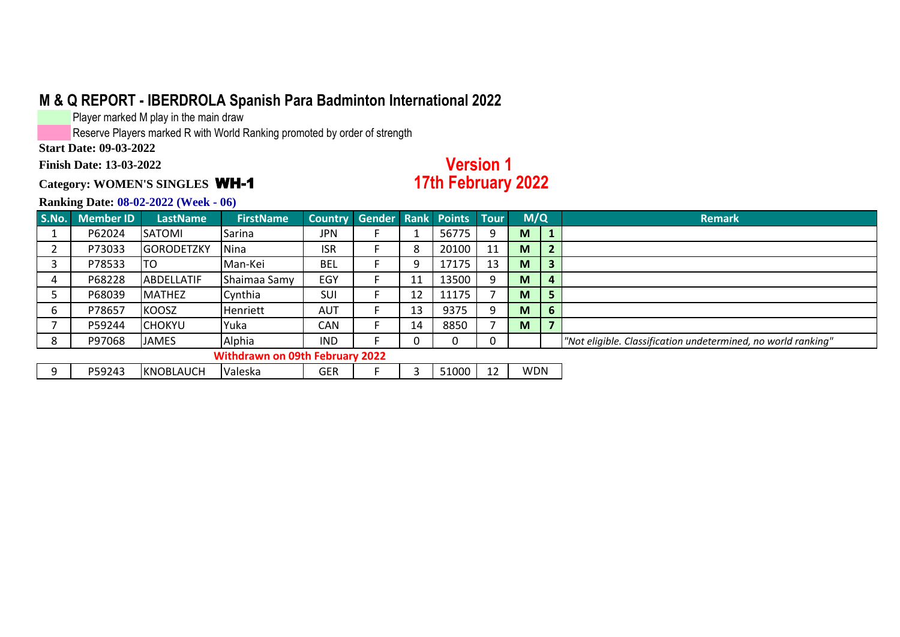Player marked M play in the main draw

Reserve Players marked R with World Ranking promoted by order of strength

**Start Date: 09-03-2022**

**Finish Date: 13-03-2022**

#### **Category: WOMEN'S SINGLES** WH-1

### **Version 1 17th February 2022**

| S.No. | <b>Member ID</b> | <b>LastName</b>   | <b>FirstName</b>                       | <b>Country</b> | <b>Gender</b> |    | <b>Rank Points Tour</b> |    | M/Q        |              | <b>Remark</b>                                                 |
|-------|------------------|-------------------|----------------------------------------|----------------|---------------|----|-------------------------|----|------------|--------------|---------------------------------------------------------------|
|       | P62024           | <b>SATOMI</b>     | Sarina                                 | JPN            |               |    | 56775                   | 9  | M          |              |                                                               |
|       | P73033           | <b>GORODETZKY</b> | Nina                                   | <b>ISR</b>     |               | 8  | 20100                   | 11 | M          |              |                                                               |
|       | P78533           | ITO               | Man-Kei                                | <b>BEL</b>     |               |    | 17175                   | 13 | M          |              |                                                               |
| 4     | P68228           | <b>ABDELLATIF</b> | Shaimaa Samy                           | EGY            |               |    | 13500                   |    | M          |              |                                                               |
|       | P68039           | IMATHEZ           | Cynthia                                | SUI            |               | 12 | 11175                   |    | M          |              |                                                               |
| 6     | P78657           | <b>KOOSZ</b>      | <b>Henriett</b>                        | <b>AUT</b>     |               | 13 | 9375                    | 9  | M          | $\mathbf{b}$ |                                                               |
|       | P59244           | <b>CHOKYU</b>     | Yuka                                   | CAN            |               | 14 | 8850                    |    | M          |              |                                                               |
| 8     | P97068           | <b>JAMES</b>      | Alphia                                 | <b>IND</b>     |               |    | $\Omega$                | 0  |            |              | "Not eligible. Classification undetermined, no world ranking" |
|       |                  |                   | <b>Withdrawn on 09th February 2022</b> |                |               |    |                         |    |            |              |                                                               |
| -9    | P59243           | <b>KNOBLAUCH</b>  | Valeska                                | GER            |               |    | 51000                   | 12 | <b>WDN</b> |              |                                                               |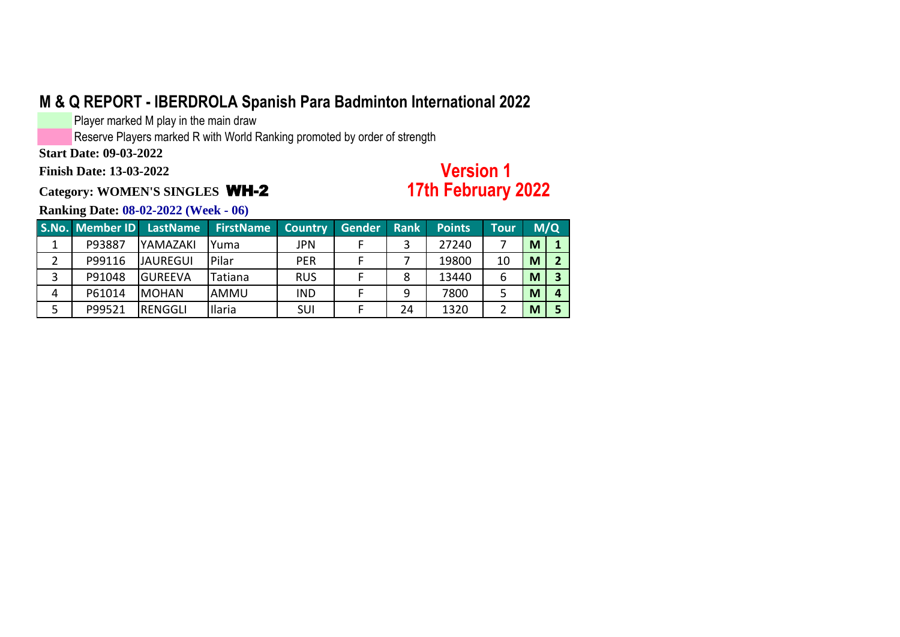Player marked M play in the main draw

Reserve Players marked R with World Ranking promoted by order of strength

**Start Date: 09-03-2022**

**Finish Date: 13-03-2022**

**Category: WOMEN'S SINGLES** WH-2

# **Version 1 17th February 2022**

|   | S.No. Member ID | LastName        | <b>FirstName</b> | <b>Country</b> | <b>Gender</b> | <b>Rank</b> | <b>Points</b> | <b>Tour</b> |   | M/Q |
|---|-----------------|-----------------|------------------|----------------|---------------|-------------|---------------|-------------|---|-----|
|   | P93887          | <b>YAMAZAKI</b> | Yuma             | JPN            |               |             | 27240         |             | M |     |
| 2 | P99116          | <b>JAUREGUI</b> | Pilar            | <b>PER</b>     |               |             | 19800         | 10          | M |     |
|   | P91048          | lgureeva        | Tatiana          | <b>RUS</b>     |               | 8           | 13440         | 6           | M |     |
| 4 | P61014          | <b>IMOHAN</b>   | AMMU             | <b>IND</b>     |               | 9           | 7800          |             | M |     |
|   | P99521          | IRENGGLI        | <b>Ilaria</b>    | <b>SUI</b>     |               | 24          | 1320          |             | M |     |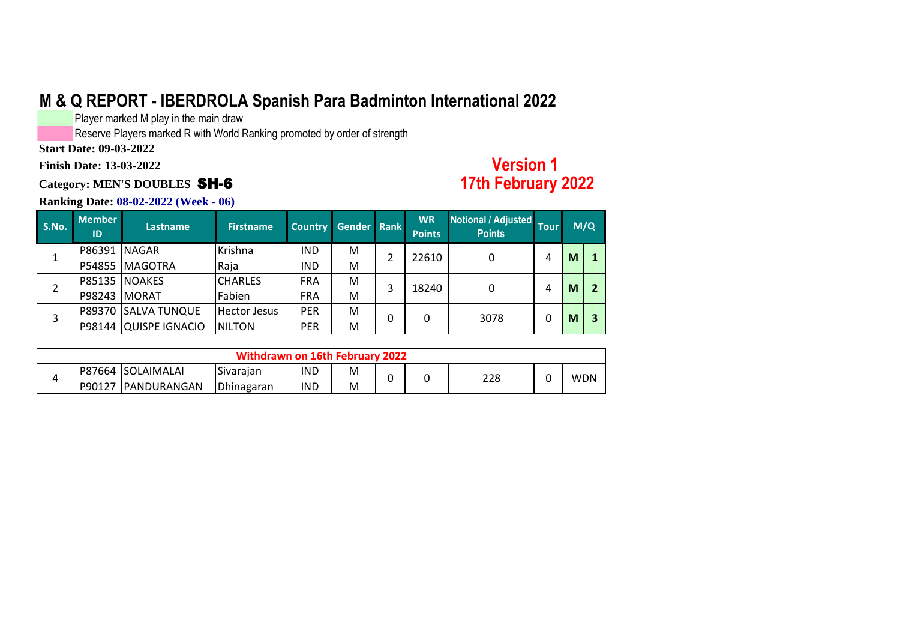Player marked M play in the main draw

Reserve Players marked R with World Ranking promoted by order of strength

**Start Date: 09-03-2022**

**Finish Date: 13-03-2022**

### **Category: MEN'S DOUBLES** SH-6

### **Version 1 17th February 2022**

| S.No. | <b>Member</b><br>ID | <b>Lastname</b>     | <b>Firstname</b>    | Country Gender Rank |   |   | <b>WR</b><br><b>Points</b> | Notional / Adjusted Tour<br><b>Points</b> |   |   | M/Q |
|-------|---------------------|---------------------|---------------------|---------------------|---|---|----------------------------|-------------------------------------------|---|---|-----|
|       | <b>P86391 NAGAR</b> |                     | Krishna             | IND                 | м |   | 22610                      |                                           | 4 | M |     |
|       |                     | P54855 MAGOTRA      | Raja                | <b>IND</b>          | м |   |                            |                                           |   |   |     |
|       |                     | P85135 NOAKES       | <b>CHARLES</b>      | <b>FRA</b>          | M | 3 | 18240                      |                                           | 4 | M |     |
|       | <b>P98243 MORAT</b> |                     | Fabien              | <b>FRA</b>          | м |   |                            |                                           |   |   |     |
| 3     |                     | P89370 SALVA TUNQUE | <b>Hector Jesus</b> | <b>PER</b>          | M |   | 0                          | 3078                                      | 0 | M | 3   |
|       | P98144              | QUISPE IGNACIO      | <b>NILTON</b>       | <b>PER</b>          | м |   |                            |                                           |   |   |     |

| Withdrawn on 16th February 2022 |        |                    |            |     |   |   |  |     |  |            |  |
|---------------------------------|--------|--------------------|------------|-----|---|---|--|-----|--|------------|--|
|                                 |        | P87664 SOLAIMALAI  | Sivarajan  | IND | M | C |  | 228 |  | <b>WDN</b> |  |
|                                 | P90127 | <b>PANDURANGAN</b> | Dhinagaran | IND | M |   |  |     |  |            |  |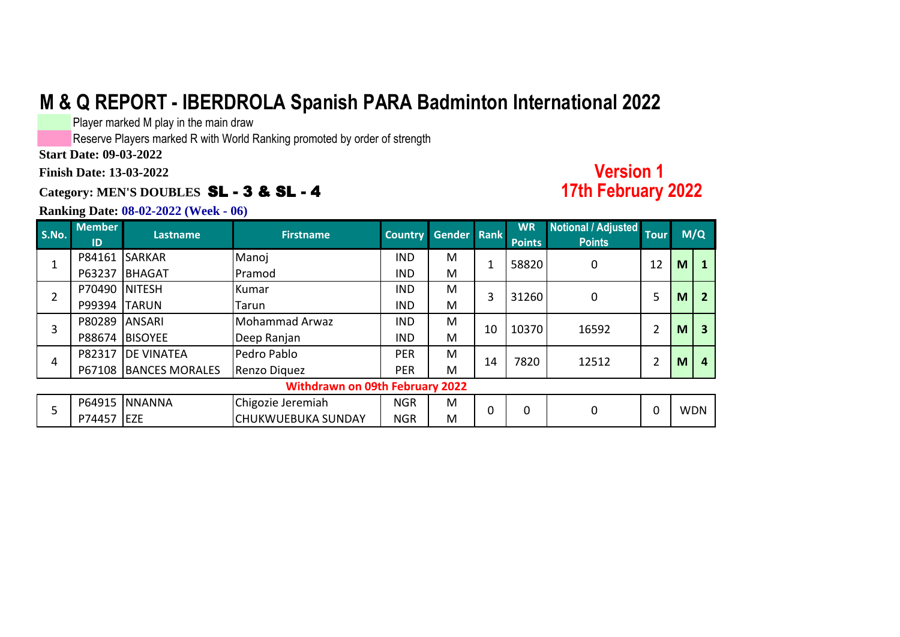Player marked M play in the main draw

Reserve Players marked R with World Ranking promoted by order of strength

**Start Date: 09-03-2022**

**Finish Date: 13-03-2022**

### **Category: MEN'S DOUBLES** SL - 3 & SL - 4

#### **Ranking Date: 08-02-2022 (Week - 06)**

#### **S.No. Member ID Lastname Firstname Country Gender Rank WR Points Notional / Adjusted Points Tour** P84161 SARKAR Manoj ND M P63237 BHAGAT Pramod IND M P70490 NITESH Kumar IND M P99394 TARUN Tarun ITarun IND M P80289 ANSARI Mohammad Arwaz IND M P88674 BISOYEE | Deep Ranjan | IND | M P82317 DE VINATEA Pedro Pablo Pablo PER M P67108 BANCES MORALES Renzo Diquez PER | M P64915 NNANNA Chigozie Jeremiah NGR M P74457 EZE CHUKWUEBUKA SUNDAY NGR M 0 0 **M/Q** 1 | 58820 | 0 | 12 | **M** | **1 2 M**  $\Omega$ 7820 2 12512 10370 16592 2 31260 1 2 3 WDN 5 **M Withdrawn on 09th February 2022**  $\Omega$ 3 10 14 **3** 4 **M 12512 M M 12512 M M M 12512 M M M 12512 M M 4**  $5 \left[ \frac{10033}{27} \right]_{\text{ST}}$

**Version 1** 

**17th February 2022**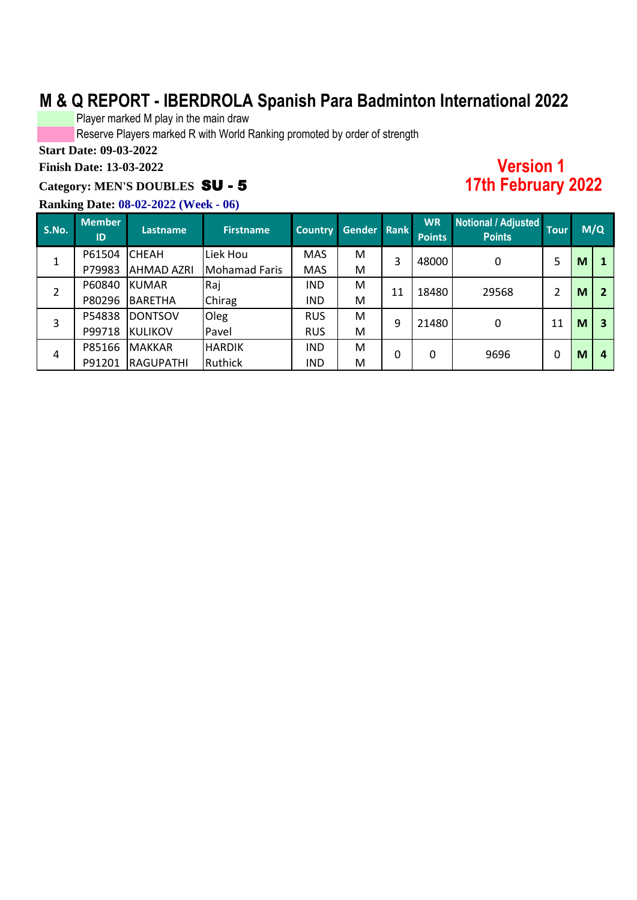Player marked M play in the main draw

Reserve Players marked R with World Ranking promoted by order of strength

**Start Date: 09-03-2022**

**Finish Date: 13-03-2022**

### **Category: MEN'S DOUBLES** SU - 5

#### **Ranking Date: 08-02-2022 (Week - 06)**

| <b>Version 1</b>     |
|----------------------|
| <b>17th February</b> |

**17th February 2022**

| S.No. | <b>Member</b><br>ID | <b>Lastname</b>   | <b>Firstname</b> | <b>Country</b> | Gender | <b>Rank</b> | <b>WR</b><br><b>Points</b> | Notional / Adjusted<br><b>Points</b> | <b>Tour</b> |   | M/Q            |
|-------|---------------------|-------------------|------------------|----------------|--------|-------------|----------------------------|--------------------------------------|-------------|---|----------------|
| 1     | P61504              | <b>CHEAH</b>      | Liek Hou         | <b>MAS</b>     | М      | 3           | 48000                      | 0                                    | 5           | M |                |
|       | P79983              | <b>AHMAD AZRI</b> | Mohamad Faris    | <b>MAS</b>     | M      |             |                            |                                      |             |   |                |
| 2     | P60840              | <b>KUMAR</b>      | Raj              | <b>IND</b>     | M      | 11          | 18480                      | 29568                                | 2           | M | $\overline{2}$ |
|       | P80296              | <b>BARETHA</b>    | Chirag           | <b>IND</b>     | M      |             |                            |                                      |             |   |                |
| 3     | P54838              | <b>DONTSOV</b>    | Oleg             | <b>RUS</b>     | M      | 9           | 21480                      | $\mathbf{0}$                         | 11          | M | 3              |
|       | P99718              | <b>KULIKOV</b>    | Pavel            | <b>RUS</b>     | M      |             |                            |                                      |             |   |                |
|       | P85166              | <b>MAKKAR</b>     | <b>HARDIK</b>    | <b>IND</b>     | M      | $\mathbf 0$ | $\Omega$                   | 9696                                 | 0           |   | 4              |
| 4     | P91201              | <b>RAGUPATHI</b>  | Ruthick          | <b>IND</b>     | M      |             |                            |                                      |             | M |                |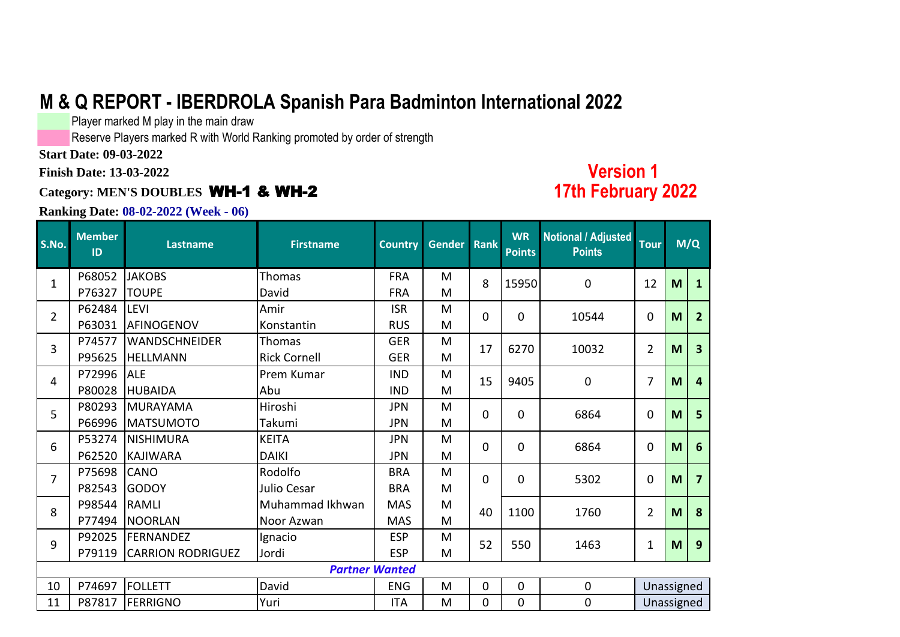Player marked M play in the main draw

Reserve Players marked R with World Ranking promoted by order of strength

**Start Date: 09-03-2022**

**Finish Date: 13-03-2022**

### **Category: MEN'S DOUBLES** WH-1 & WH-2

#### **Ranking Date: 08-02-2022 (Week - 06)**

# **Version 1 17th February 2022**

| S.No.          | <b>Member</b><br>ID | Lastname                 | <b>Firstname</b>      | <b>Country</b>  | Gender Rank |             | <b>WR</b><br><b>Points</b> | <b>Notional / Adjusted</b><br><b>Points</b> | <b>Tour</b>    |   | M/Q            |
|----------------|---------------------|--------------------------|-----------------------|-----------------|-------------|-------------|----------------------------|---------------------------------------------|----------------|---|----------------|
| $\mathbf{1}$   | P68052              | <b>JAKOBS</b>            | Thomas                | <b>FRA</b>      | M           | 8           | 15950                      | 0                                           | 12             | M | 1              |
|                | P76327              | <b>TOUPE</b>             | David                 | <b>FRA</b>      | M           |             |                            |                                             |                |   |                |
| $\overline{2}$ | P62484              | <b>LEVI</b>              | Amir                  | <b>ISR</b>      | M           | $\Omega$    | $\mathbf 0$                | 10544                                       | $\mathbf 0$    | M | $\overline{2}$ |
|                | P63031              | AFINOGENOV               | Konstantin            | <b>RUS</b>      | M<br>M      |             |                            |                                             |                |   |                |
| 3              | P74577              | <b>WANDSCHNEIDER</b>     | <b>Thomas</b>         | <b>GER</b>      | 17<br>M     |             | 6270                       | 10032                                       | $\overline{2}$ | M | 3              |
|                | P95625              | <b>HELLMANN</b>          | <b>Rick Cornell</b>   | <b>GER</b>      |             | M<br>15     |                            |                                             |                |   |                |
| $\overline{4}$ | P72996              | <b>ALE</b>               | Prem Kumar            | <b>IND</b>      |             |             | 9405                       | 0                                           | 7              | M | 4              |
|                | P80028              | <b>HUBAIDA</b>           | Abu                   | <b>IND</b>      | M           |             |                            |                                             |                |   |                |
| 5              | P80293              | MURAYAMA                 | Hiroshi               | <b>JPN</b>      | M           | $\Omega$    | 0                          | 6864                                        | 0              | M | 5              |
|                | P66996              | <b>MATSUMOTO</b>         | Takumi                | <b>JPN</b>      | M           |             |                            |                                             |                |   |                |
| 6              | P53274              | <b>INISHIMURA</b>        | <b>KEITA</b>          | <b>JPN</b>      | M           |             | 0                          | 6864                                        | 0              | M | 6              |
|                | P62520              | <b>KAJIWARA</b>          | <b>DAIKI</b>          | <b>JPN</b>      | M           | $\Omega$    |                            |                                             |                |   |                |
| $\overline{7}$ | P75698              | <b>CANO</b>              | Rodolfo               | <b>BRA</b>      | M           | $\Omega$    | 0                          | 5302                                        | 0              | M | 7              |
|                | P82543              | <b>GODOY</b>             | Julio Cesar           | <b>BRA</b>      | M           |             |                            |                                             |                |   |                |
| 8              | P98544              | <b>IRAMLI</b>            | Muhammad Ikhwan       | <b>MAS</b>      | M           | 40          | 1100                       | 1760                                        | $\overline{2}$ | M | 8              |
|                | P77494              | <b>NOORLAN</b>           | Noor Azwan            | <b>MAS</b>      | M           |             |                            |                                             |                |   |                |
| 9              | P92025              | <b>FERNANDEZ</b>         | Ignacio               | <b>ESP</b>      | M           | 52          | 550                        | 1463                                        | $\mathbf 1$    | M | 9              |
|                | P79119              | <b>CARRION RODRIGUEZ</b> | Jordi                 | <b>ESP</b><br>M |             |             |                            |                                             |                |   |                |
|                |                     |                          | <b>Partner Wanted</b> |                 |             |             |                            |                                             |                |   |                |
| 10             | P74697              | <b>FOLLETT</b>           | David                 | <b>ENG</b>      | M           | $\mathbf 0$ | 0                          | $\mathbf 0$                                 | Unassigned     |   |                |
| 11             | P87817              | FERRIGNO                 | Yuri                  | <b>ITA</b>      | M           | 0           | 0                          | 0                                           | Unassigned     |   |                |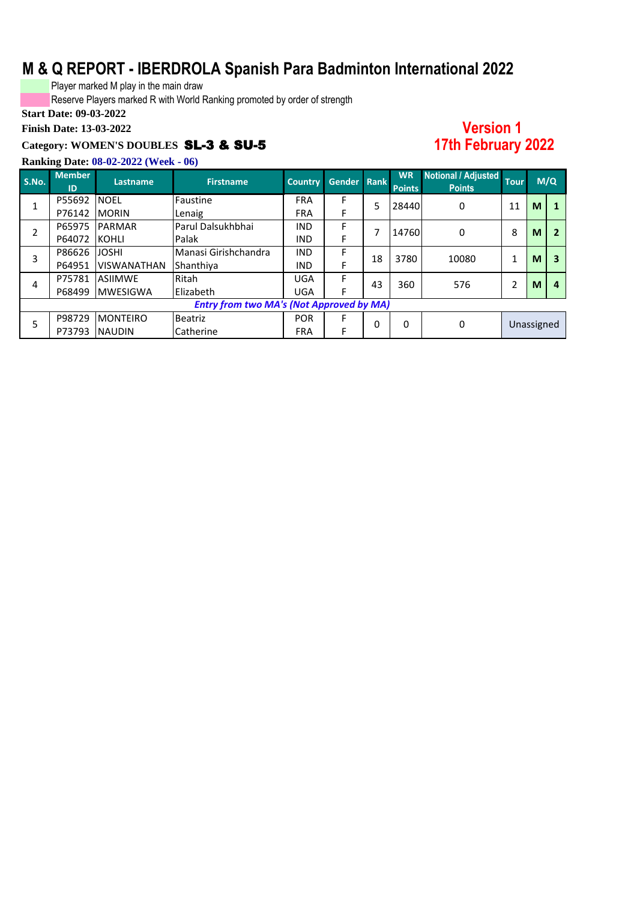Player marked M play in the main draw

Reserve Players marked R with World Ranking promoted by order of strength

### **Start Date: 09-03-2022**

**Finish Date: 13-03-2022**

#### **Category: WOMEN'S DOUBLES** SL-3 & SU-5

### **Version 1 17th February 2022**

| S.No.          | <b>Member</b><br>ID | Lastname,          | <b>Firstname</b>                                | <b>Country</b> | Gender Rank |    | <b>WR</b><br><b>Points</b> | Notional / Adjusted<br><b>Points</b> | <b>Tour</b> |            | M/Q |
|----------------|---------------------|--------------------|-------------------------------------------------|----------------|-------------|----|----------------------------|--------------------------------------|-------------|------------|-----|
| $\overline{ }$ | P55692              | <b>NOEL</b>        | Faustine                                        | <b>FRA</b>     | F           | 5  | 28440                      | 0                                    | 11          | M          |     |
|                | P76142              | <b>MORIN</b>       | Lenaig                                          | <b>FRA</b>     | F           |    |                            |                                      |             |            |     |
| $\overline{2}$ | P65975              | <b>PARMAR</b>      | Parul Dalsukhbhai                               | <b>IND</b>     | F           |    | 14760                      | 0                                    | 8           | M          | 2   |
|                | P64072              | <b>KOHLI</b>       | <b>Palak</b>                                    | <b>IND</b>     | F           |    |                            |                                      |             |            |     |
| 3              | P86626              | <b>JOSHI</b>       | Manasi Girishchandra                            | <b>IND</b>     | F           | 18 | 3780                       | 10080                                |             | M          | 3   |
|                | P64951              | <b>VISWANATHAN</b> | Shanthiya                                       | <b>IND</b>     |             |    |                            |                                      |             |            |     |
| 4              | P75781              | <b>ASIIMWE</b>     | Ritah                                           | <b>UGA</b>     | F           | 43 | 360                        | 576                                  | 2           | M          | 4   |
|                | P68499              | <b>MWESIGWA</b>    | Elizabeth                                       | <b>UGA</b>     |             |    |                            |                                      |             |            |     |
|                |                     |                    | <b>Entry from two MA's (Not Approved by MA)</b> |                |             |    |                            |                                      |             |            |     |
| 5              | P98729              | <b>MONTEIRO</b>    | <b>Beatriz</b>                                  | <b>POR</b>     |             | 0  | 0                          | 0                                    |             | Unassigned |     |
|                | P73793              | <b>NAUDIN</b>      | Catherine                                       | <b>FRA</b>     |             |    |                            |                                      |             |            |     |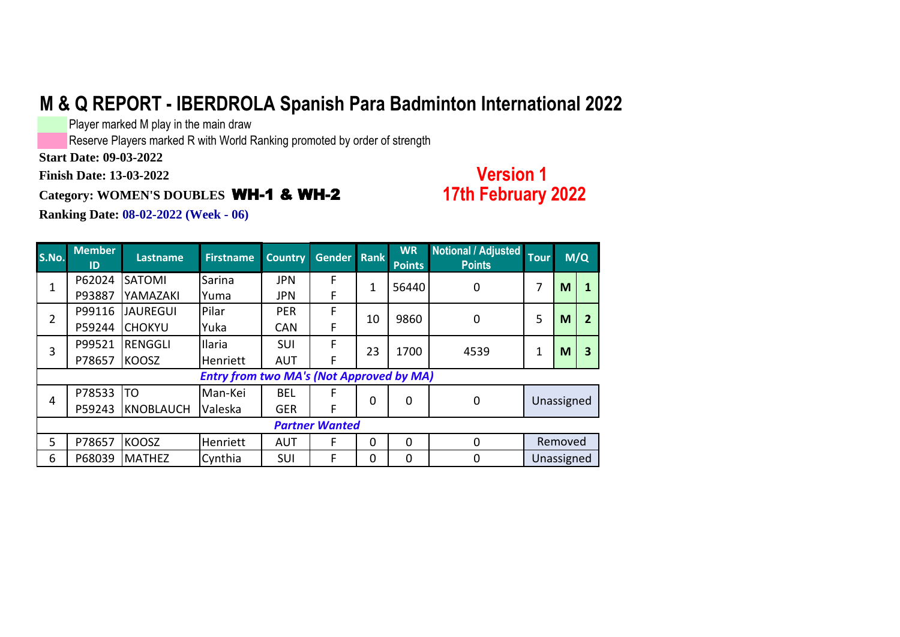Player marked M play in the main draw

Reserve Players marked R with World Ranking promoted by order of strength

**Start Date: 09-03-2022**

**Finish Date: 13-03-2022**

### **Category: WOMEN'S DOUBLES** WH-1 & WH-2

### **Version 1 17th February 2022**

| <b>S.No.</b>   | <b>Member</b><br>ID | <b>Lastname</b>  | <b>Firstname</b>                                | <b>Country</b> | Gender Rank           |                | <b>WR</b><br><b>Points</b> | Notional / Adjusted<br><b>Points</b> | <b>Tour</b> |         | M/Q            |
|----------------|---------------------|------------------|-------------------------------------------------|----------------|-----------------------|----------------|----------------------------|--------------------------------------|-------------|---------|----------------|
| 1              | P62024              | <b>SATOMI</b>    | Sarina                                          | <b>JPN</b>     | F                     | 1              | 56440                      | 0                                    | 7           | M       | 1              |
|                | P93887              | YAMAZAKI         | Yuma                                            | <b>JPN</b>     | F                     |                |                            |                                      |             |         |                |
| 2              | P99116              | <b>JAUREGUI</b>  | Pilar                                           | <b>PER</b>     | F                     | 10             | 9860                       | 0                                    | 5           | M       | $\overline{2}$ |
|                | P59244              | <b>CHOKYU</b>    | Yuka                                            | <b>CAN</b>     | F                     |                |                            |                                      |             |         |                |
| 3              | P99521              | <b>RENGGLI</b>   | Ilaria                                          | <b>SUI</b>     | F                     | 23             | 1700                       | 4539                                 |             |         |                |
|                | P78657              | <b>KOOSZ</b>     | Henriett                                        | <b>AUT</b>     | F                     |                |                            |                                      | 1           | M       | 3              |
|                |                     |                  | <b>Entry from two MA's (Not Approved by MA)</b> |                |                       |                |                            |                                      |             |         |                |
| $\overline{4}$ | P78533              | <b>TO</b>        | Man-Kei                                         | <b>BEL</b>     | F                     | 0              | 0                          |                                      |             |         |                |
|                | P59243              | <b>KNOBLAUCH</b> | Valeska                                         | <b>GER</b>     | F                     |                |                            | 0                                    | Unassigned  |         |                |
|                |                     |                  |                                                 |                | <b>Partner Wanted</b> |                |                            |                                      |             |         |                |
| 5              | P78657              | <b>KOOSZ</b>     | Henriett                                        | <b>AUT</b>     | F                     | $\overline{0}$ | 0                          | 0                                    |             | Removed |                |
| 6              | P68039              | <b>MATHEZ</b>    | Cynthia                                         | <b>SUI</b>     | F                     | 0              | 0                          | 0                                    | Unassigned  |         |                |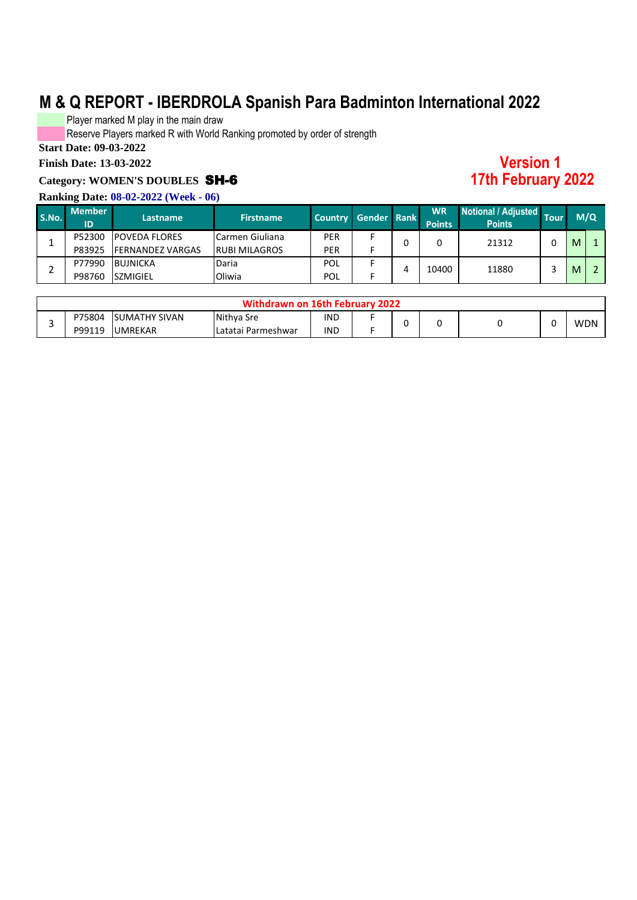Player marked M play in the main draw

Reserve Players marked R with World Ranking promoted by order of strength

**Start Date: 09-03-2022**

#### **Finish Date: 13-03-2022**

#### **Category: WOMEN'S DOUBLES** SH-6

#### **Ranking Date: 08-02-2022 (Week - 06)**

#### **S.No. Member ID Lastname Firstname Country Gender Rank WR Points Notional / Adjusted Points Tour** P52300 POVEDA FLORES Carmen Giuliana | PER F P83925 FERNANDEZ VARGAS RUBI MILAGROS PER F P77990 BUJNICKA Daria POL F P98760 SZMIGIEL | Oliwia | POL | F **M/Q** 0 0 0 21312 0 <mark>M 1</mark>  $M$  2 1 2 199270  $\frac{1}{2}$  108760  $\frac{1}{2}$  108760  $\frac{1}{2}$  108760  $\frac{1}{2}$  10880  $\frac{1}{2}$  11880  $\frac{1}{2}$  11880 4 10400 11880 3

| Withdrawn on 16th February 2022 |        |                       |                    |            |  |  |  |  |  |            |  |
|---------------------------------|--------|-----------------------|--------------------|------------|--|--|--|--|--|------------|--|
|                                 | P75804 | <b>ISUMATHY SIVAN</b> | Nithya Sre         | <b>IND</b> |  |  |  |  |  | <b>WDN</b> |  |
|                                 | P99119 | <b>UMREKAR</b>        | Latatai Parmeshwar | <b>IND</b> |  |  |  |  |  |            |  |

**Version 1 17th February 2022**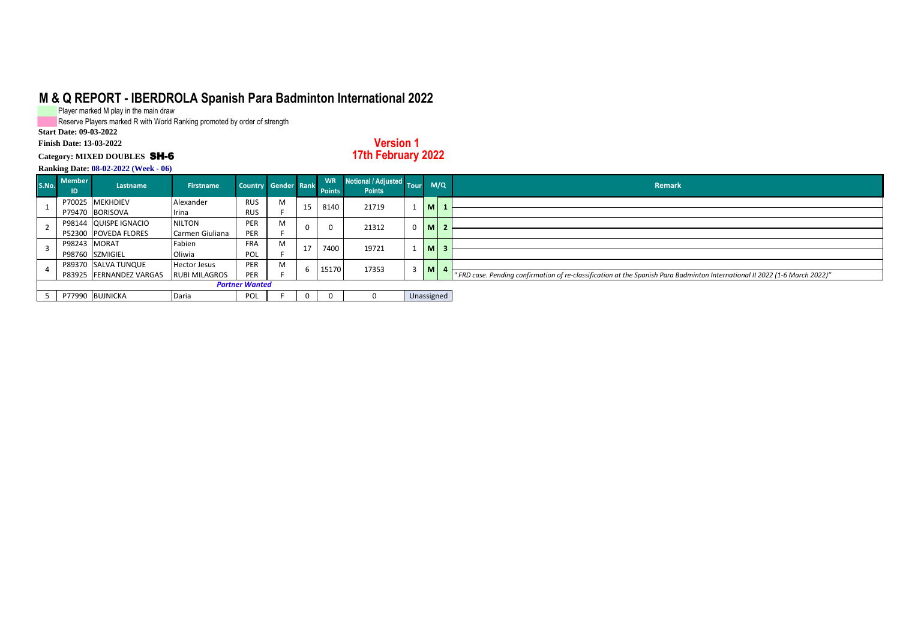Player marked M play in the main draw

Reserve Players marked R with World Ranking promoted by order of strength

**Start Date: 09-03-2022**

#### **Finish Date: 13-03-2022 Category: MIXED DOUBLES** SH-6

**Version 1 17th February 2022**

| S.NO. | <b>Member</b><br>ID | Lastname                | <b>Firstname</b>     | Country Gender Rank   |   |          | <b>WR</b><br><b>Points</b> | Notional / Adjusted Tour<br><b>Points</b> |            |   | M/Q | Remark                                                                                                                     |
|-------|---------------------|-------------------------|----------------------|-----------------------|---|----------|----------------------------|-------------------------------------------|------------|---|-----|----------------------------------------------------------------------------------------------------------------------------|
|       |                     | P70025 MEKHDIEV         | Alexander            | <b>RUS</b>            | M | 15       | 8140                       | 21719                                     |            |   |     |                                                                                                                            |
|       |                     | P79470 BORISOVA         | Irina                | <b>RUS</b>            |   |          |                            |                                           |            |   |     |                                                                                                                            |
|       |                     | P98144 QUISPE IGNACIO   | <b>NILTON</b>        | <b>PER</b>            | M | $\Omega$ |                            | 21312                                     | 0          | M |     |                                                                                                                            |
|       |                     | P52300 POVEDA FLORES    | Carmen Giuliana      | PER                   |   |          |                            |                                           |            |   |     |                                                                                                                            |
|       | P98243 MORAT        |                         | Fabien               | <b>FRA</b>            | M | 17       | 7400                       | 19721                                     |            |   |     |                                                                                                                            |
|       |                     | P98760 SZMIGIEL         | Oliwia               | POL                   |   |          |                            |                                           |            |   |     |                                                                                                                            |
|       |                     | P89370 SALVA TUNQUE     | <b>Hector Jesus</b>  | PER                   | M | b        | 15170                      | 17353                                     | 3          | M |     |                                                                                                                            |
|       |                     | P83925 FERNANDEZ VARGAS | <b>RUBI MILAGROS</b> | PER                   |   |          |                            |                                           |            |   |     | "FRD case. Pending confirmation of re-classification at the Spanish Para Badminton International II 2022 (1-6 March 2022)" |
|       |                     |                         |                      | <b>Partner Wanted</b> |   |          |                            |                                           |            |   |     |                                                                                                                            |
|       |                     | P77990 BUJNICKA         | Daria                | POL                   |   | 0        |                            |                                           | Unassigned |   |     |                                                                                                                            |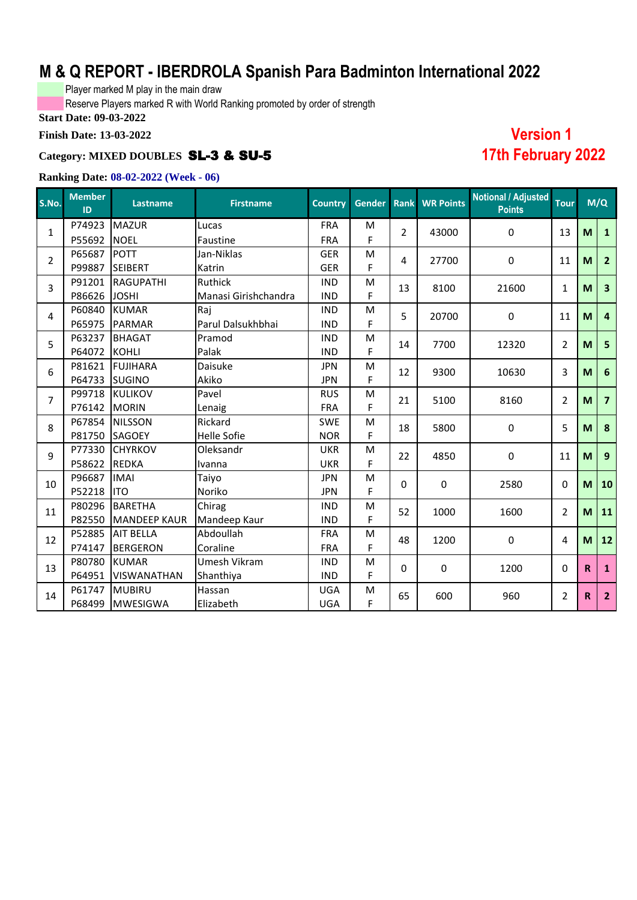Player marked M play in the main draw

Reserve Players marked R with World Ranking promoted by order of strength

**Start Date: 09-03-2022**

#### **Finish Date: 13-03-2022**

#### **Category: MIXED DOUBLES** SL-3 & SU-5

#### **Ranking Date: 08-02-2022 (Week - 06)**

| S.No.          | <b>Member</b><br>ID | <b>Lastname</b>     | <b>Firstname</b>     | <b>Country</b> | Gender Rank |                | <b>WR Points</b> | <b>Notional / Adjusted</b><br><b>Points</b> | <b>Tour</b>                                                                                                                           |                                                                                               |                         |
|----------------|---------------------|---------------------|----------------------|----------------|-------------|----------------|------------------|---------------------------------------------|---------------------------------------------------------------------------------------------------------------------------------------|-----------------------------------------------------------------------------------------------|-------------------------|
| $\mathbf{1}$   | P74923              | <b>MAZUR</b>        | Lucas                | <b>FRA</b>     | M           | $\overline{2}$ | 43000            | $\pmb{0}$                                   |                                                                                                                                       |                                                                                               | $\mathbf{1}$            |
|                | P55692              | <b>NOEL</b>         | Faustine             | <b>FRA</b>     | F           |                |                  |                                             |                                                                                                                                       |                                                                                               |                         |
| $\overline{2}$ | P65687              | <b>POTT</b>         | Jan-Niklas           | <b>GER</b>     | M           | $\overline{4}$ | 27700            | $\mathbf 0$                                 |                                                                                                                                       |                                                                                               | $\overline{2}$          |
|                | P99887              | <b>SEIBERT</b>      | Katrin               | <b>GER</b>     | F           |                |                  |                                             |                                                                                                                                       |                                                                                               |                         |
| 3              | P91201              | <b>RAGUPATHI</b>    | <b>Ruthick</b>       | <b>IND</b>     | M           | 13             | 8100             | 21600                                       |                                                                                                                                       |                                                                                               | $\overline{\mathbf{3}}$ |
|                | P86626              | <b>JOSHI</b>        | Manasi Girishchandra | <b>IND</b>     | F           |                |                  |                                             |                                                                                                                                       |                                                                                               |                         |
| 4              | P60840              | <b>KUMAR</b>        | Raj                  | <b>IND</b>     | ${\sf M}$   | 5              | 20700            | 0                                           |                                                                                                                                       |                                                                                               | $\overline{4}$          |
|                | P65975              | PARMAR              | Parul Dalsukhbhai    | <b>IND</b>     | F           |                |                  |                                             |                                                                                                                                       |                                                                                               |                         |
| 5              | P63237              | <b>BHAGAT</b>       | Pramod               | <b>IND</b>     | ${\sf M}$   | 14             | 7700             | 12320                                       |                                                                                                                                       |                                                                                               | $5\phantom{1}$          |
|                | P64072              | <b>KOHLI</b>        | Palak                | <b>IND</b>     | F           |                |                  |                                             |                                                                                                                                       |                                                                                               |                         |
| 6              | P81621              | <b>FUJIHARA</b>     | Daisuke              | <b>JPN</b>     | ${\sf M}$   | 12             | 9300             | 10630                                       |                                                                                                                                       |                                                                                               | $6\phantom{1}6$         |
|                | P64733              | <b>SUGINO</b>       | Akiko                | <b>JPN</b>     | F           |                |                  |                                             | 13<br>11<br>$\mathbf{1}$<br>11<br>$\overline{2}$<br>3<br>$\overline{2}$<br>5<br>11<br>0<br>$\overline{2}$<br>4<br>0<br>$\overline{2}$ |                                                                                               |                         |
| $\overline{7}$ | P99718              | <b>KULIKOV</b>      | Pavel                | <b>RUS</b>     | M           | 21             | 5100             | 8160                                        |                                                                                                                                       |                                                                                               | $\overline{7}$          |
|                | P76142              | <b>MORIN</b>        | Lenaig               | <b>FRA</b>     | F           |                |                  |                                             |                                                                                                                                       | M/Q<br>M<br>M<br>M<br>M<br>M<br>M<br>M<br>M<br>M<br>M<br>M<br>M<br>$\mathbf R$<br>$\mathbf R$ |                         |
| 8              | P67854              | <b>NILSSON</b>      | Rickard              | <b>SWE</b>     | M           | 18             | 5800             | 0                                           |                                                                                                                                       |                                                                                               | 8                       |
|                | P81750              | <b>SAGOEY</b>       | <b>Helle Sofie</b>   | <b>NOR</b>     | F           |                |                  |                                             |                                                                                                                                       |                                                                                               |                         |
| 9              | P77330              | <b>CHYRKOV</b>      | Oleksandr            | <b>UKR</b>     | M           | 22             | 4850             | $\mathbf 0$                                 |                                                                                                                                       |                                                                                               | 9                       |
|                | P58622              | <b>REDKA</b>        | Ivanna               | <b>UKR</b>     | F           |                |                  |                                             |                                                                                                                                       |                                                                                               |                         |
| 10             | P96687              | <b>IMAI</b>         | Taiyo                | <b>JPN</b>     | M           | $\Omega$       | 0                | 2580                                        |                                                                                                                                       |                                                                                               | 10                      |
|                | P52218              | <b>ITO</b>          | Noriko               | <b>JPN</b>     | F           |                |                  |                                             |                                                                                                                                       |                                                                                               |                         |
| 11             | P80296              | <b>BARETHA</b>      | Chirag               | <b>IND</b>     | M           | 52             | 1000             | 1600                                        |                                                                                                                                       |                                                                                               | 11                      |
|                | P82550              | <b>MANDEEP KAUR</b> | Mandeep Kaur         | <b>IND</b>     | F           |                |                  |                                             |                                                                                                                                       |                                                                                               |                         |
| 12             | P52885              | <b>AIT BELLA</b>    | Abdoullah            | <b>FRA</b>     | M           | 48             | 1200             | 0                                           |                                                                                                                                       |                                                                                               | 12                      |
|                | P74147              | <b>BERGERON</b>     | Coraline             | <b>FRA</b>     | F           |                |                  |                                             |                                                                                                                                       |                                                                                               |                         |
| 13             | P80780              | <b>KUMAR</b>        | Umesh Vikram         | <b>IND</b>     | M           | 0              | 0                | 1200                                        |                                                                                                                                       |                                                                                               | $\mathbf{1}$            |
|                | P64951              | <b>VISWANATHAN</b>  | Shanthiya            | <b>IND</b>     | F           |                |                  |                                             |                                                                                                                                       |                                                                                               |                         |
| 14             | P61747              | <b>MUBIRU</b>       | Hassan               | <b>UGA</b>     | M           | 65             | 600              | 960                                         |                                                                                                                                       |                                                                                               | $\overline{2}$          |
|                | P68499              | <b>MWESIGWA</b>     | Elizabeth            | <b>UGA</b>     | F           |                |                  |                                             |                                                                                                                                       |                                                                                               |                         |

**Version 1 17th February 2022**